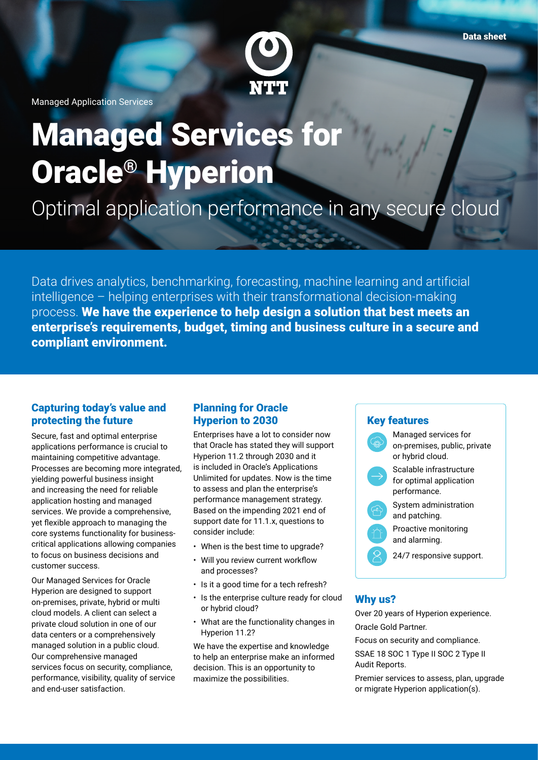

Managed Application Services

# Managed Services for Oracle® Hyperion

Optimal application performance in any secure cloud

Data drives analytics, benchmarking, forecasting, machine learning and artificial intelligence – helping enterprises with their transformational decision-making process. We have the experience to help design a solution that best meets an enterprise's requirements, budget, timing and business culture in a secure and compliant environment.

#### Capturing today's value and protecting the future

Secure, fast and optimal enterprise applications performance is crucial to maintaining competitive advantage. Processes are becoming more integrated, yielding powerful business insight and increasing the need for reliable application hosting and managed services. We provide a comprehensive, yet flexible approach to managing the core systems functionality for businesscritical applications allowing companies to focus on business decisions and customer success.

Our Managed Services for Oracle Hyperion are designed to support on-premises, private, hybrid or multi cloud models. A client can select a private cloud solution in one of our data centers or a comprehensively managed solution in a public cloud. Our comprehensive managed services focus on security, compliance, performance, visibility, quality of service and end-user satisfaction.

## Planning for Oracle Hyperion to 2030

Enterprises have a lot to consider now that Oracle has stated they will support Hyperion 11.2 through 2030 and it is included in Oracle's Applications Unlimited for updates. Now is the time to assess and plan the enterprise's performance management strategy. Based on the impending 2021 end of support date for 11.1.x, questions to consider include:

- When is the best time to upgrade?
- Will you review current workflow and processes?
- Is it a good time for a tech refresh?
- Is the enterprise culture ready for cloud or hybrid cloud?
- What are the functionality changes in Hyperion 11.2?

We have the expertise and knowledge to help an enterprise make an informed decision. This is an opportunity to maximize the possibilities.

#### Key features



## Why us?

Over 20 years of Hyperion experience. Oracle Gold Partner.

Focus on security and compliance.

SSAE 18 SOC 1 Type II SOC 2 Type II Audit Reports.

Premier services to assess, plan, upgrade or migrate Hyperion application(s).